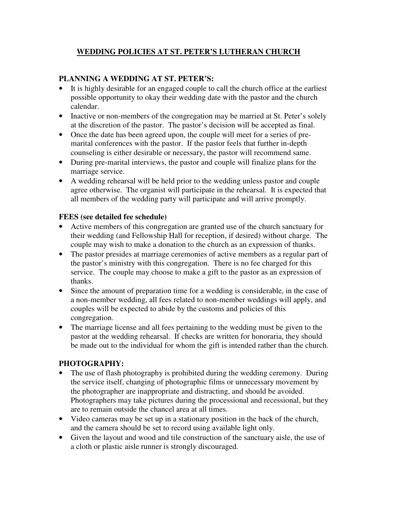# **WEDDING POLICIES AT ST. PETER'S LUTHERAN CHURCH**

### **PLANNING A WEDDING AT ST. PETER'S:**

- It is highly desirable for an engaged couple to call the church office at the earliest possible opportunity to okay their wedding date with the pastor and the church calendar.
- Inactive or non-members of the congregation may be married at St. Peter's solely at the discretion of the pastor. The pastor's decision will be accepted as final.
- Once the date has been agreed upon, the couple will meet for a series of premarital conferences with the pastor. If the pastor feels that further in-depth counseling is either desirable or necessary, the pastor will recommend same.
- During pre-marital interviews, the pastor and couple will finalize plans for the marriage service.
- A wedding rehearsal will be held prior to the wedding unless pastor and couple agree otherwise. The organist will participate in the rehearsal. It is expected that all members of the wedding party will participate and will arrive promptly.

#### **FEES (see detailed fee schedule)**

- Active members of this congregation are granted use of the church sanctuary for their wedding (and Fellowship Hall for reception, if desired) without charge. The couple may wish to make a donation to the church as an expression of thanks.
- The pastor presides at marriage ceremonies of active members as a regular part of the pastor's ministry with this congregation. There is no fee charged for this service. The couple may choose to make a gift to the pastor as an expression of thanks.
- Since the amount of preparation time for a wedding is considerable, in the case of a non-member wedding, all fees related to non-member weddings will apply, and couples will be expected to abide by the customs and policies of this congregation.
- The marriage license and all fees pertaining to the wedding must be given to the pastor at the wedding rehearsal. If checks are written for honoraria, they should be made out to the individual for whom the gift is intended rather than the church.

### **PHOTOGRAPHY:**

- The use of flash photography is prohibited during the wedding ceremony. During the service itself, changing of photographic films or unnecessary movement by the photographer are inappropriate and distracting, and should be avoided. Photographers may take pictures during the processional and recessional, but they are to remain outside the chancel area at all times.
- Video cameras may be set up in a stationary position in the back of the church, and the camera should be set to record using available light only.
- Given the layout and wood and tile construction of the sanctuary aisle, the use of a cloth or plastic aisle runner is strongly discouraged.